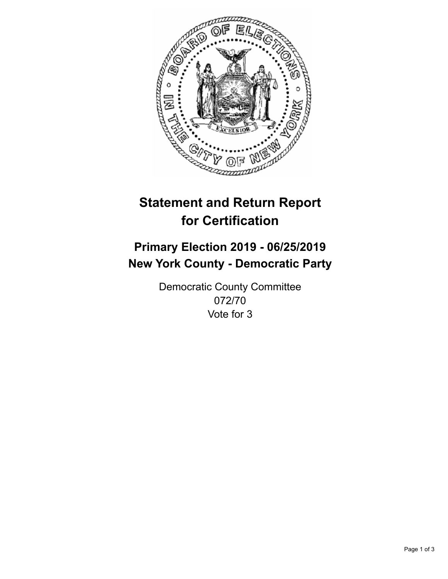

## **Statement and Return Report for Certification**

## **Primary Election 2019 - 06/25/2019 New York County - Democratic Party**

Democratic County Committee 072/70 Vote for 3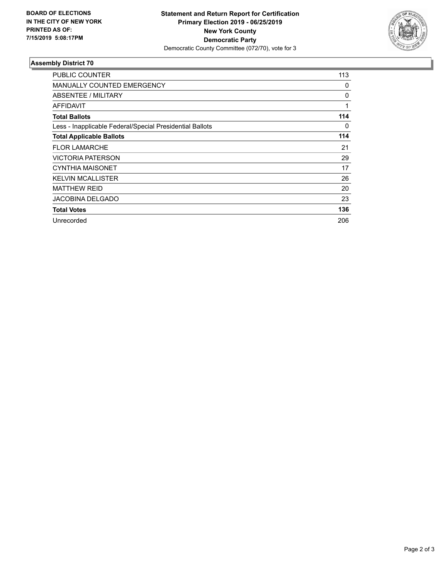

## **Assembly District 70**

| <b>PUBLIC COUNTER</b>                                    | 113 |
|----------------------------------------------------------|-----|
| <b>MANUALLY COUNTED EMERGENCY</b>                        | 0   |
| ABSENTEE / MILITARY                                      | 0   |
| AFFIDAVIT                                                | 1   |
| <b>Total Ballots</b>                                     | 114 |
| Less - Inapplicable Federal/Special Presidential Ballots | 0   |
| <b>Total Applicable Ballots</b>                          | 114 |
| <b>FLOR LAMARCHE</b>                                     | 21  |
| <b>VICTORIA PATERSON</b>                                 | 29  |
| <b>CYNTHIA MAISONET</b>                                  | 17  |
| <b>KELVIN MCALLISTER</b>                                 | 26  |
| <b>MATTHEW REID</b>                                      | 20  |
| JACOBINA DELGADO                                         | 23  |
| <b>Total Votes</b>                                       | 136 |
| Unrecorded                                               | 206 |